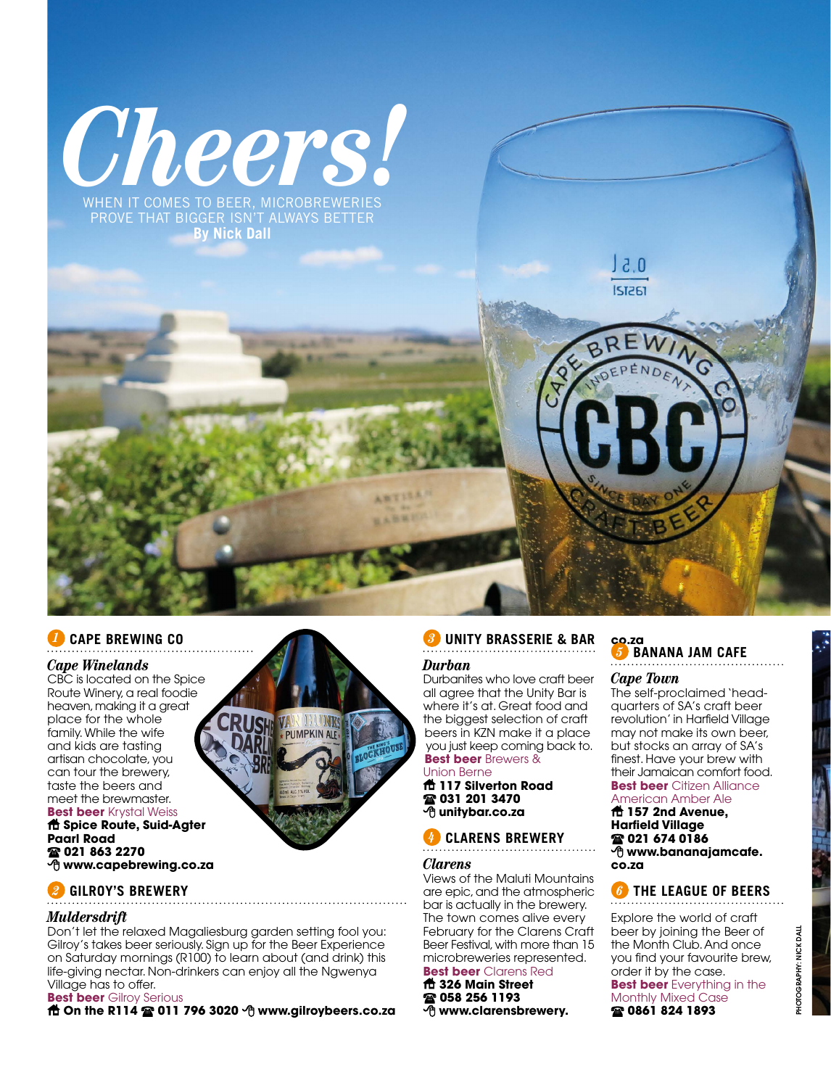

When it comes to beer, microbreweries prove that bigger isn't always better **By Nick Dall**

# *1* **Cape Brewing Co**

### *Cape Winelands*

CBC is located on the Spice Route Winery, a real foodie heaven, making it a great place for the whole family. While the wife and kids are tasting artisan chocolate, you can tour the brewery, taste the beers and meet the brewmaster.

### **Best beer** Krystal Weiss **Spice Route, Suid-Agter Paarl Road 021 863 2270 www.capebrewing.co.za**



# *2* **Gilroy's Brewery**

### *Muldersdrift*

Don't let the relaxed Magaliesburg garden setting fool you: Gilroy's takes beer seriously. Sign up for the Beer Experience on Saturday mornings (R100) to learn about (and drink) this life-giving nectar. Non-drinkers can enjoy all the Ngwenya Village has to offer.

### **Best beer** Gilroy Serious

**他 On the R114 2 011 796 3020 + www.gilroybeers.co.za** 

# *3* **Unity Brasserie & Bar**

# *Durban*

Durbanites who love craft beer all agree that the Unity Bar is where it's at. Great food and the biggest selection of craft beers in KZN make it a place you just keep coming back to. **Best beer** Brewers &

# Union Berne

**117 Silverton Road 031 201 3470 unitybar.co.za**

# *4* **Clarens Brewery**

### *Clarens*

Views of the Maluti Mountains are epic, and the atmospheric bar is actually in the brewery. The town comes alive every February for the Clarens Craft Beer Festival, with more than 15 microbreweries represented. **Best beer** Clarens Red

### **326 Main Street**

- **058 256 1193**
- **www.clarensbrewery.**

### **co.za** *5* **Banana Jam Cafe**

### *Cape Town*

 $3.0$ **IST261** 

The self-proclaimed 'headquarters of SA's craft beer revolution' in Harfield Village may not make its own beer, but stocks an array of SA's finest. Have your brew with their Jamaican comfort food. **Best beer** Citizen Alliance

# American Amber Ale

**157 2nd Avenue, Harfield Village 021 674 0186 www.bananajamcafe. co.za**

# *6* **The League of Beers**

Explore the world of craft beer by joining the Beer of the Month Club. And once you find your favourite brew, order it by the case. **Best beer** Everything in the Monthly Mixed Case **0861 824 1893**